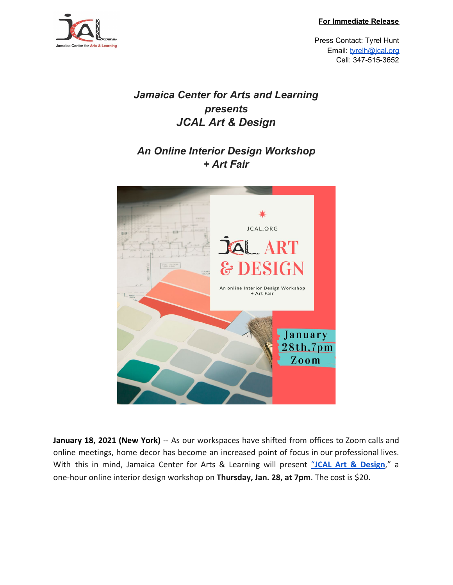**For Immediate Release**



Press Contact: Tyrel Hunt Email: [tyrelh@jcal.org](mailto:tyrelh@jcal.org) Cell: 347-515-3652

## *Jamaica Center for Arts and Learning presents JCAL Art & Design*

## *An Online Interior Design Workshop + Art Fair*



**January 18, 2021 (New York)** -- As our workspaces have shifted from offices to Zoom calls and online meetings, home decor has become an increased point of focus in our professional lives. With this in mind, Jamaica Center for Arts & Learning will present ["](https://jcal.meeter-app.com/event/pWLI3mLaAZ)**JCAL Art & [Design](https://jcal.meeter-app.com/event/pWLI3mLaAZ)**," a one-hour online interior design workshop on **Thursday, Jan. 28, at 7pm**. The cost is \$20.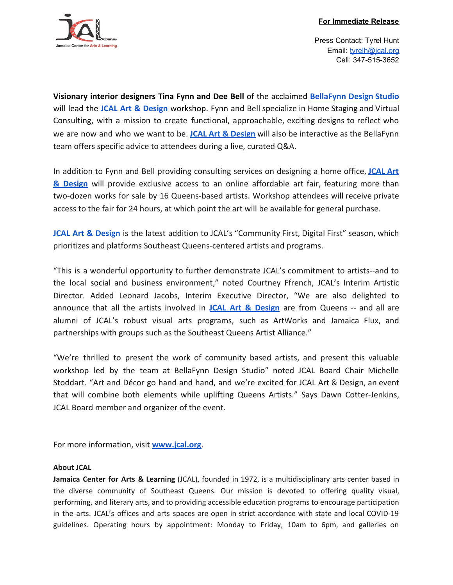

Press Contact: Tyrel Hunt Email: [tyrelh@jcal.org](mailto:tyrelh@jcal.org) Cell: 347-515-3652

**Visionary interior designers Tina Fynn and Dee Bell** of the acclaimed **[BellaFynn](https://bellafynndesignstudio.com/) Design Studio** will lead the **JCAL Art & [Design](https://jcal.meeter-app.com/event/pWLI3mLaAZ)** workshop. Fynn and Bell specialize in Home Staging and Virtual Consulting, with a mission to create functional, approachable, exciting designs to reflect who we are now and who we want to be. **JCAL Art & [Design](https://jcal.meeter-app.com/event/pWLI3mLaAZ)** will also be interactive as the BellaFynn team offers specific advice to attendees during a live, curated Q&A.

In addition to Fynn and Bell providing consulting services on designing a home office, **[JCAL](https://jcal.meeter-app.com/event/pWLI3mLaAZ) Art & [Design](https://jcal.meeter-app.com/event/pWLI3mLaAZ)** will provide exclusive access to an online affordable art fair, featuring more than two-dozen works for sale by 16 Queens-based artists. Workshop attendees will receive private access to the fair for 24 hours, at which point the art will be available for general purchase.

**JCAL Art & [Design](https://jcal.meeter-app.com/event/pWLI3mLaAZ)** is the latest addition to JCAL's "Community First, Digital First" season, which prioritizes and platforms Southeast Queens-centered artists and programs.

"This is a wonderful opportunity to further demonstrate JCAL's commitment to artists--and to the local social and business environment," noted Courtney Ffrench, JCAL's Interim Artistic Director. Added Leonard Jacobs, Interim Executive Director, "We are also delighted to announce that all the artists involved in **JCAL Art & [Design](https://jcal.meeter-app.com/event/pWLI3mLaAZ)** are from Queens -- and all are alumni of JCAL's robust visual arts programs, such as ArtWorks and Jamaica Flux, and partnerships with groups such as the Southeast Queens Artist Alliance."

"We're thrilled to present the work of community based artists, and present this valuable workshop led by the team at BellaFynn Design Studio" noted JCAL Board Chair Michelle Stoddart. "Art and Décor go hand and hand, and we're excited for JCAL Art & Design, an event that will combine both elements while uplifting Queens Artists." Says Dawn Cotter-Jenkins, JCAL Board member and organizer of the event.

For more information, visit **[www.jcal.org](https://jcal.meeter-app.com/event/pWLI3mLaAZ)**.

## **About JCAL**

**Jamaica Center for Arts & Learning** (JCAL), founded in 1972, is a multidisciplinary arts center based in the diverse community of Southeast Queens. Our mission is devoted to offering quality visual, performing, and literary arts, and to providing accessible education programs to encourage participation in the arts. JCAL's offices and arts spaces are open in strict accordance with state and local COVID-19 guidelines. Operating hours by appointment: Monday to Friday, 10am to 6pm, and galleries on